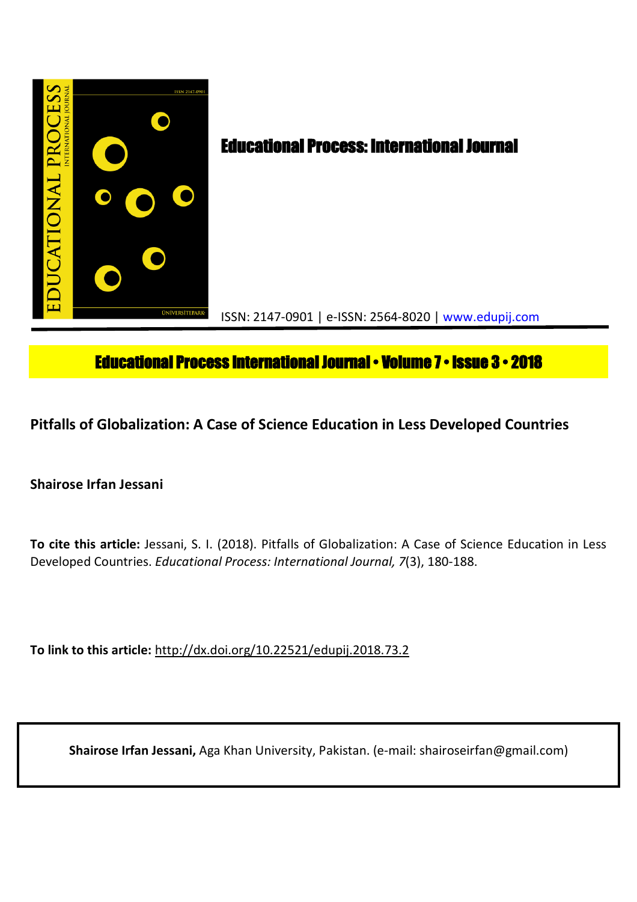

# **Educational Process International Journal • Volume 7 • Issue 3 • 2018**

**Pitfalls of Globalization: A Case of Science Education in Less Developed Countries**

**Shairose Irfan Jessani**

**To cite this article:** Jessani, S. I. (2018). Pitfalls of Globalization: A Case of Science Education in Less Developed Countries. *Educational Process: International Journal, 7*(3), 180-188.

**To link to this article:** http://dx.doi.org/10.22521/edupij.2018.73.2

**Shairose Irfan Jessani,** Aga Khan University, Pakistan. (e-mail: shairoseirfan@gmail.com)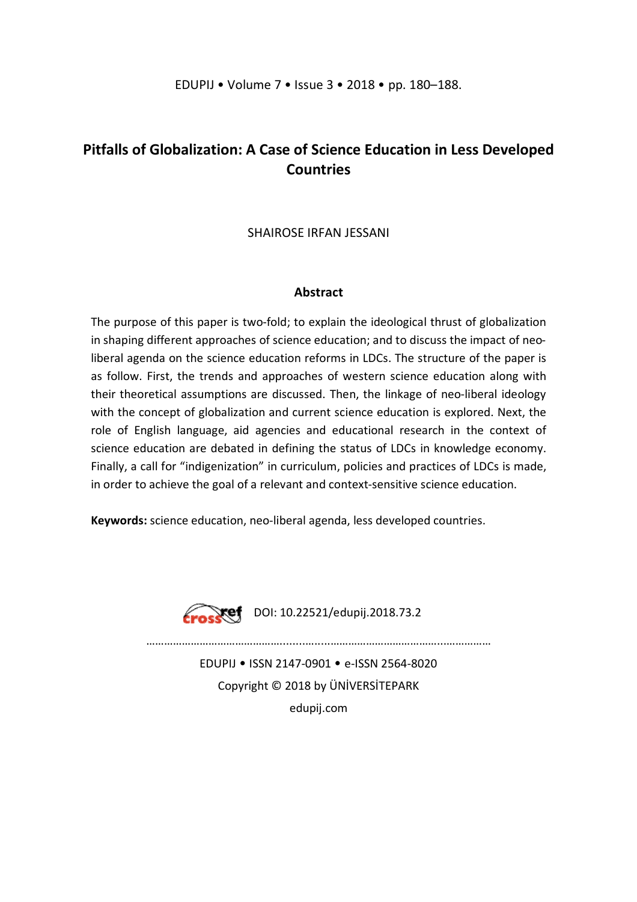## **Pitfalls of Globalization: A Case of Science Education in Less Developed Countries**

## SHAIROSE IRFAN JESSANI

## **Abstract**

The purpose of this paper is two-fold; to explain the ideological thrust of globalization in shaping different approaches of science education; and to discuss the impact of neoliberal agenda on the science education reforms in LDCs. The structure of the paper is as follow. First, the trends and approaches of western science education along with their theoretical assumptions are discussed. Then, the linkage of neo-liberal ideology with the concept of globalization and current science education is explored. Next, the role of English language, aid agencies and educational research in the context of science education are debated in defining the status of LDCs in knowledge economy. Finally, a call for "indigenization" in curriculum, policies and practices of LDCs is made, in order to achieve the goal of a relevant and context-sensitive science education.

**Keywords:** science education, neo-liberal agenda, less developed countries.



**Froskef** DOI: 10.22521/edupij.2018.73.2

EDUPIJ • ISSN 2147-0901 • e-ISSN 2564-8020 Copyright © 2018 by ÜNİVERSİTEPARK edupij.com

………………………………………........….....………………………………...……………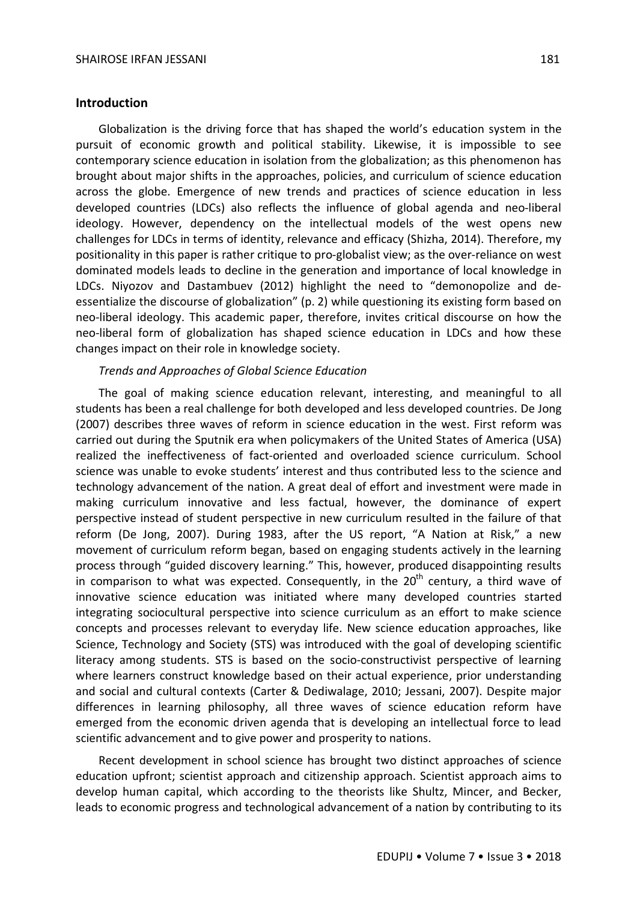#### **Introduction**

Globalization is the driving force that has shaped the world's education system in the pursuit of economic growth and political stability. Likewise, it is impossible to see contemporary science education in isolation from the globalization; as this phenomenon has brought about major shifts in the approaches, policies, and curriculum of science education across the globe. Emergence of new trends and practices of science education in less developed countries (LDCs) also reflects the influence of global agenda and neo-liberal ideology. However, dependency on the intellectual models of the west opens new challenges for LDCs in terms of identity, relevance and efficacy (Shizha, 2014). Therefore, my positionality in this paper is rather critique to pro-globalist view; as the over-reliance on west dominated models leads to decline in the generation and importance of local knowledge in LDCs. Niyozov and Dastambuev (2012) highlight the need to "demonopolize and deessentialize the discourse of globalization" (p. 2) while questioning its existing form based on neo-liberal ideology. This academic paper, therefore, invites critical discourse on how the neo-liberal form of globalization has shaped science education in LDCs and how these changes impact on their role in knowledge society.

#### *Trends and Approaches of Global Science Education*

The goal of making science education relevant, interesting, and meaningful to all students has been a real challenge for both developed and less developed countries. De Jong (2007) describes three waves of reform in science education in the west. First reform was carried out during the Sputnik era when policymakers of the United States of America (USA) realized the ineffectiveness of fact-oriented and overloaded science curriculum. School science was unable to evoke students' interest and thus contributed less to the science and technology advancement of the nation. A great deal of effort and investment were made in making curriculum innovative and less factual, however, the dominance of expert perspective instead of student perspective in new curriculum resulted in the failure of that reform (De Jong, 2007). During 1983, after the US report, "A Nation at Risk," a new movement of curriculum reform began, based on engaging students actively in the learning process through "guided discovery learning." This, however, produced disappointing results in comparison to what was expected. Consequently, in the  $20<sup>th</sup>$  century, a third wave of innovative science education was initiated where many developed countries started integrating sociocultural perspective into science curriculum as an effort to make science concepts and processes relevant to everyday life. New science education approaches, like Science, Technology and Society (STS) was introduced with the goal of developing scientific literacy among students. STS is based on the socio-constructivist perspective of learning where learners construct knowledge based on their actual experience, prior understanding and social and cultural contexts (Carter & Dediwalage, 2010; Jessani, 2007). Despite major differences in learning philosophy, all three waves of science education reform have emerged from the economic driven agenda that is developing an intellectual force to lead scientific advancement and to give power and prosperity to nations.

Recent development in school science has brought two distinct approaches of science education upfront; scientist approach and citizenship approach. Scientist approach aims to develop human capital, which according to the theorists like Shultz, Mincer, and Becker, leads to economic progress and technological advancement of a nation by contributing to its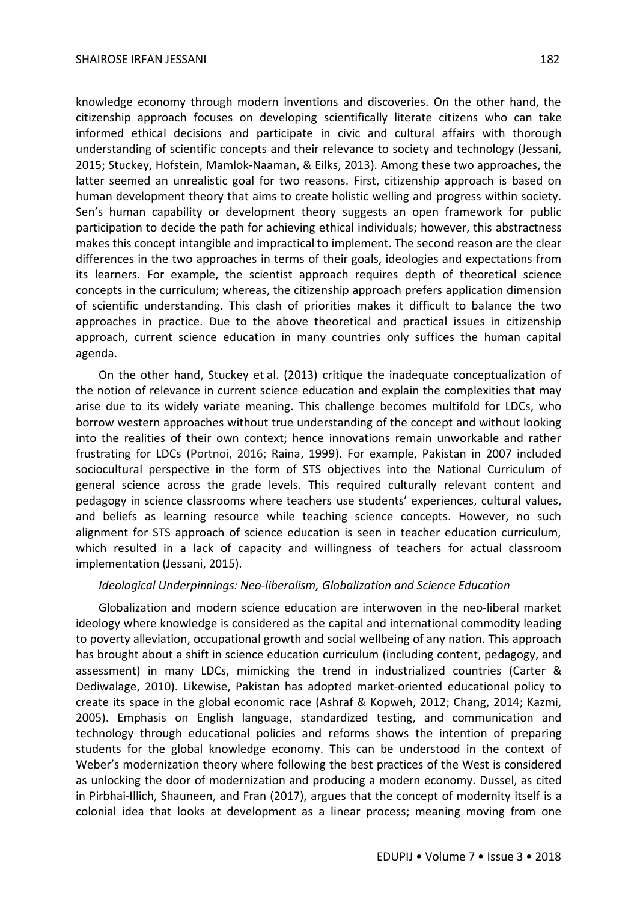knowledge economy through modern inventions and discoveries. On the other hand, the citizenship approach focuses on developing scientifically literate citizens who can take informed ethical decisions and participate in civic and cultural affairs with thorough understanding of scientific concepts and their relevance to society and technology (Jessani, 2015; Stuckey, Hofstein, Mamlok-Naaman, & Eilks, 2013). Among these two approaches, the latter seemed an unrealistic goal for two reasons. First, citizenship approach is based on human development theory that aims to create holistic welling and progress within society. Sen's human capability or development theory suggests an open framework for public participation to decide the path for achieving ethical individuals; however, this abstractness makes this concept intangible and impractical to implement. The second reason are the clear differences in the two approaches in terms of their goals, ideologies and expectations from its learners. For example, the scientist approach requires depth of theoretical science concepts in the curriculum; whereas, the citizenship approach prefers application dimension of scientific understanding. This clash of priorities makes it difficult to balance the two approaches in practice. Due to the above theoretical and practical issues in citizenship approach, current science education in many countries only suffices the human capital agenda.

On the other hand, Stuckey et al. (2013) critique the inadequate conceptualization of the notion of relevance in current science education and explain the complexities that may arise due to its widely variate meaning. This challenge becomes multifold for LDCs, who borrow western approaches without true understanding of the concept and without looking into the realities of their own context; hence innovations remain unworkable and rather frustrating for LDCs (Portnoi, 2016; Raina, 1999). For example, Pakistan in 2007 included sociocultural perspective in the form of STS objectives into the National Curriculum of general science across the grade levels. This required culturally relevant content and pedagogy in science classrooms where teachers use students' experiences, cultural values, and beliefs as learning resource while teaching science concepts. However, no such alignment for STS approach of science education is seen in teacher education curriculum, which resulted in a lack of capacity and willingness of teachers for actual classroom implementation (Jessani, 2015).

## *Ideological Underpinnings: Neo-liberalism, Globalization and Science Education*

Globalization and modern science education are interwoven in the neo-liberal market ideology where knowledge is considered as the capital and international commodity leading to poverty alleviation, occupational growth and social wellbeing of any nation. This approach has brought about a shift in science education curriculum (including content, pedagogy, and assessment) in many LDCs, mimicking the trend in industrialized countries (Carter & Dediwalage, 2010). Likewise, Pakistan has adopted market-oriented educational policy to create its space in the global economic race (Ashraf & Kopweh, 2012; Chang, 2014; Kazmi, 2005). Emphasis on English language, standardized testing, and communication and technology through educational policies and reforms shows the intention of preparing students for the global knowledge economy. This can be understood in the context of Weber's modernization theory where following the best practices of the West is considered as unlocking the door of modernization and producing a modern economy. Dussel, as cited in Pirbhai-Illich, Shauneen, and Fran (2017), argues that the concept of modernity itself is a colonial idea that looks at development as a linear process; meaning moving from one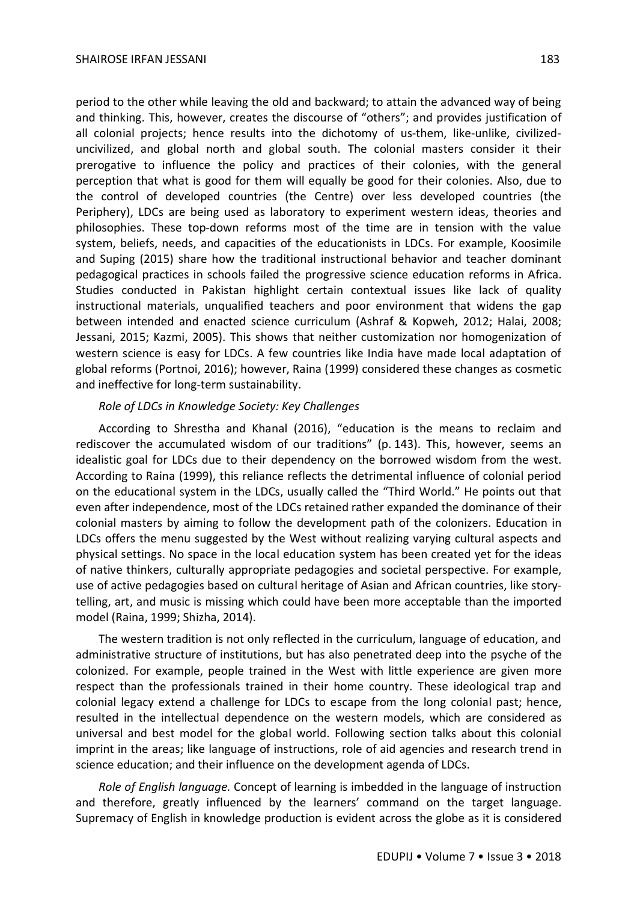period to the other while leaving the old and backward; to attain the advanced way of being and thinking. This, however, creates the discourse of "others"; and provides justification of all colonial projects; hence results into the dichotomy of us-them, like-unlike, civilizeduncivilized, and global north and global south. The colonial masters consider it their prerogative to influence the policy and practices of their colonies, with the general perception that what is good for them will equally be good for their colonies. Also, due to the control of developed countries (the Centre) over less developed countries (the Periphery), LDCs are being used as laboratory to experiment western ideas, theories and philosophies. These top-down reforms most of the time are in tension with the value system, beliefs, needs, and capacities of the educationists in LDCs. For example, Koosimile and Suping (2015) share how the traditional instructional behavior and teacher dominant pedagogical practices in schools failed the progressive science education reforms in Africa. Studies conducted in Pakistan highlight certain contextual issues like lack of quality instructional materials, unqualified teachers and poor environment that widens the gap between intended and enacted science curriculum (Ashraf & Kopweh, 2012; Halai, 2008; Jessani, 2015; Kazmi, 2005). This shows that neither customization nor homogenization of western science is easy for LDCs. A few countries like India have made local adaptation of global reforms (Portnoi, 2016); however, Raina (1999) considered these changes as cosmetic and ineffective for long-term sustainability.

#### *Role of LDCs in Knowledge Society: Key Challenges*

According to Shrestha and Khanal (2016), "education is the means to reclaim and rediscover the accumulated wisdom of our traditions" (p. 143). This, however, seems an idealistic goal for LDCs due to their dependency on the borrowed wisdom from the west. According to Raina (1999), this reliance reflects the detrimental influence of colonial period on the educational system in the LDCs, usually called the "Third World." He points out that even after independence, most of the LDCs retained rather expanded the dominance of their colonial masters by aiming to follow the development path of the colonizers. Education in LDCs offers the menu suggested by the West without realizing varying cultural aspects and physical settings. No space in the local education system has been created yet for the ideas of native thinkers, culturally appropriate pedagogies and societal perspective. For example, use of active pedagogies based on cultural heritage of Asian and African countries, like storytelling, art, and music is missing which could have been more acceptable than the imported model (Raina, 1999; Shizha, 2014).

The western tradition is not only reflected in the curriculum, language of education, and administrative structure of institutions, but has also penetrated deep into the psyche of the colonized. For example, people trained in the West with little experience are given more respect than the professionals trained in their home country. These ideological trap and colonial legacy extend a challenge for LDCs to escape from the long colonial past; hence, resulted in the intellectual dependence on the western models, which are considered as universal and best model for the global world. Following section talks about this colonial imprint in the areas; like language of instructions, role of aid agencies and research trend in science education; and their influence on the development agenda of LDCs.

*Role of English language.* Concept of learning is imbedded in the language of instruction and therefore, greatly influenced by the learners' command on the target language. Supremacy of English in knowledge production is evident across the globe as it is considered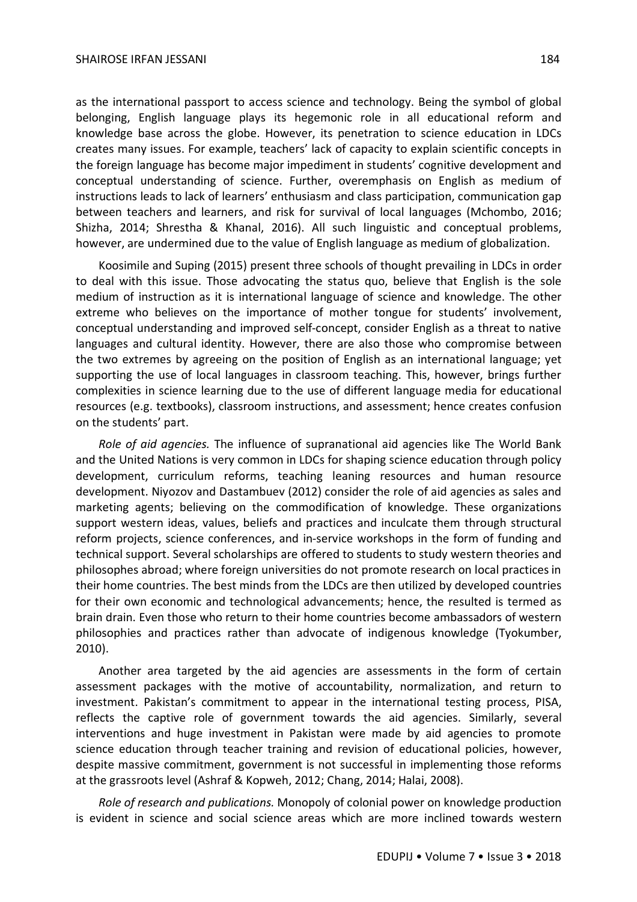#### SHAIROSE IRFAN JESSANI 184

as the international passport to access science and technology. Being the symbol of global belonging, English language plays its hegemonic role in all educational reform and knowledge base across the globe. However, its penetration to science education in LDCs creates many issues. For example, teachers' lack of capacity to explain scientific concepts in the foreign language has become major impediment in students' cognitive development and conceptual understanding of science. Further, overemphasis on English as medium of instructions leads to lack of learners' enthusiasm and class participation, communication gap between teachers and learners, and risk for survival of local languages (Mchombo, 2016; Shizha, 2014; Shrestha & Khanal, 2016). All such linguistic and conceptual problems, however, are undermined due to the value of English language as medium of globalization.

Koosimile and Suping (2015) present three schools of thought prevailing in LDCs in order to deal with this issue. Those advocating the status quo, believe that English is the sole medium of instruction as it is international language of science and knowledge. The other extreme who believes on the importance of mother tongue for students' involvement, conceptual understanding and improved self-concept, consider English as a threat to native languages and cultural identity. However, there are also those who compromise between the two extremes by agreeing on the position of English as an international language; yet supporting the use of local languages in classroom teaching. This, however, brings further complexities in science learning due to the use of different language media for educational resources (e.g. textbooks), classroom instructions, and assessment; hence creates confusion on the students' part.

*Role of aid agencies.* The influence of supranational aid agencies like The World Bank and the United Nations is very common in LDCs for shaping science education through policy development, curriculum reforms, teaching leaning resources and human resource development. Niyozov and Dastambuev (2012) consider the role of aid agencies as sales and marketing agents; believing on the commodification of knowledge. These organizations support western ideas, values, beliefs and practices and inculcate them through structural reform projects, science conferences, and in-service workshops in the form of funding and technical support. Several scholarships are offered to students to study western theories and philosophes abroad; where foreign universities do not promote research on local practices in their home countries. The best minds from the LDCs are then utilized by developed countries for their own economic and technological advancements; hence, the resulted is termed as brain drain. Even those who return to their home countries become ambassadors of western philosophies and practices rather than advocate of indigenous knowledge (Tyokumber, 2010).

Another area targeted by the aid agencies are assessments in the form of certain assessment packages with the motive of accountability, normalization, and return to investment. Pakistan's commitment to appear in the international testing process, PISA, reflects the captive role of government towards the aid agencies. Similarly, several interventions and huge investment in Pakistan were made by aid agencies to promote science education through teacher training and revision of educational policies, however, despite massive commitment, government is not successful in implementing those reforms at the grassroots level (Ashraf & Kopweh, 2012; Chang, 2014; Halai, 2008).

*Role of research and publications.* Monopoly of colonial power on knowledge production is evident in science and social science areas which are more inclined towards western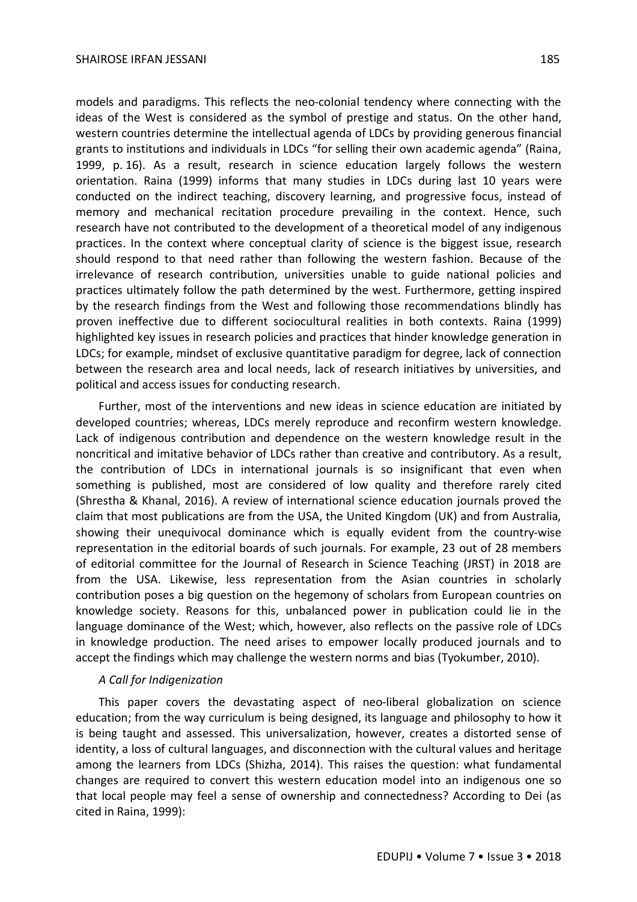models and paradigms. This reflects the neo-colonial tendency where connecting with the ideas of the West is considered as the symbol of prestige and status. On the other hand, western countries determine the intellectual agenda of LDCs by providing generous financial grants to institutions and individuals in LDCs "for selling their own academic agenda" (Raina, 1999, p. 16). As a result, research in science education largely follows the western orientation. Raina (1999) informs that many studies in LDCs during last 10 years were conducted on the indirect teaching, discovery learning, and progressive focus, instead of memory and mechanical recitation procedure prevailing in the context. Hence, such research have not contributed to the development of a theoretical model of any indigenous practices. In the context where conceptual clarity of science is the biggest issue, research should respond to that need rather than following the western fashion. Because of the irrelevance of research contribution, universities unable to guide national policies and practices ultimately follow the path determined by the west. Furthermore, getting inspired by the research findings from the West and following those recommendations blindly has proven ineffective due to different sociocultural realities in both contexts. Raina (1999) highlighted key issues in research policies and practices that hinder knowledge generation in LDCs; for example, mindset of exclusive quantitative paradigm for degree, lack of connection between the research area and local needs, lack of research initiatives by universities, and political and access issues for conducting research.

Further, most of the interventions and new ideas in science education are initiated by developed countries; whereas, LDCs merely reproduce and reconfirm western knowledge. Lack of indigenous contribution and dependence on the western knowledge result in the noncritical and imitative behavior of LDCs rather than creative and contributory. As a result, the contribution of LDCs in international journals is so insignificant that even when something is published, most are considered of low quality and therefore rarely cited (Shrestha & Khanal, 2016). A review of international science education journals proved the claim that most publications are from the USA, the United Kingdom (UK) and from Australia, showing their unequivocal dominance which is equally evident from the country-wise representation in the editorial boards of such journals. For example, 23 out of 28 members of editorial committee for the Journal of Research in Science Teaching (JRST) in 2018 are from the USA. Likewise, less representation from the Asian countries in scholarly contribution poses a big question on the hegemony of scholars from European countries on knowledge society. Reasons for this, unbalanced power in publication could lie in the language dominance of the West; which, however, also reflects on the passive role of LDCs in knowledge production. The need arises to empower locally produced journals and to accept the findings which may challenge the western norms and bias (Tyokumber, 2010).

## *A Call for Indigenization*

This paper covers the devastating aspect of neo-liberal globalization on science education; from the way curriculum is being designed, its language and philosophy to how it is being taught and assessed. This universalization, however, creates a distorted sense of identity, a loss of cultural languages, and disconnection with the cultural values and heritage among the learners from LDCs (Shizha, 2014). This raises the question: what fundamental changes are required to convert this western education model into an indigenous one so that local people may feel a sense of ownership and connectedness? According to Dei (as cited in Raina, 1999):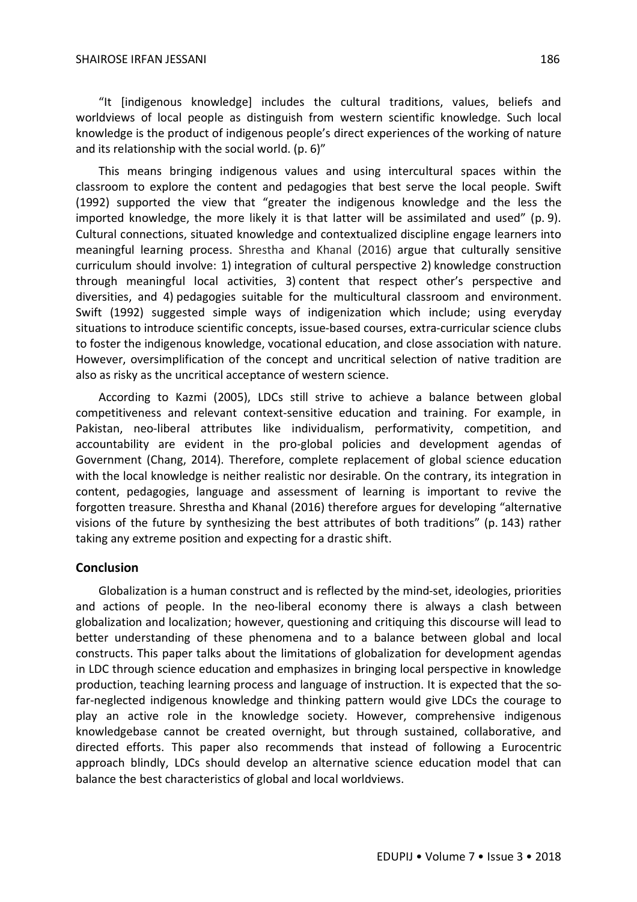"It [indigenous knowledge] includes the cultural traditions, values, beliefs and worldviews of local people as distinguish from western scientific knowledge. Such local knowledge is the product of indigenous people's direct experiences of the working of nature and its relationship with the social world. (p. 6)"

This means bringing indigenous values and using intercultural spaces within the classroom to explore the content and pedagogies that best serve the local people. Swift (1992) supported the view that "greater the indigenous knowledge and the less the imported knowledge, the more likely it is that latter will be assimilated and used" (p. 9). Cultural connections, situated knowledge and contextualized discipline engage learners into meaningful learning process. Shrestha and Khanal (2016) argue that culturally sensitive curriculum should involve: 1) integration of cultural perspective 2) knowledge construction through meaningful local activities, 3) content that respect other's perspective and diversities, and 4) pedagogies suitable for the multicultural classroom and environment. Swift (1992) suggested simple ways of indigenization which include; using everyday situations to introduce scientific concepts, issue-based courses, extra-curricular science clubs to foster the indigenous knowledge, vocational education, and close association with nature. However, oversimplification of the concept and uncritical selection of native tradition are also as risky as the uncritical acceptance of western science.

According to Kazmi (2005), LDCs still strive to achieve a balance between global competitiveness and relevant context-sensitive education and training. For example, in Pakistan, neo-liberal attributes like individualism, performativity, competition, and accountability are evident in the pro-global policies and development agendas of Government (Chang, 2014). Therefore, complete replacement of global science education with the local knowledge is neither realistic nor desirable. On the contrary, its integration in content, pedagogies, language and assessment of learning is important to revive the forgotten treasure. Shrestha and Khanal (2016) therefore argues for developing "alternative visions of the future by synthesizing the best attributes of both traditions" (p. 143) rather taking any extreme position and expecting for a drastic shift.

## **Conclusion**

Globalization is a human construct and is reflected by the mind-set, ideologies, priorities and actions of people. In the neo-liberal economy there is always a clash between globalization and localization; however, questioning and critiquing this discourse will lead to better understanding of these phenomena and to a balance between global and local constructs. This paper talks about the limitations of globalization for development agendas in LDC through science education and emphasizes in bringing local perspective in knowledge production, teaching learning process and language of instruction. It is expected that the sofar-neglected indigenous knowledge and thinking pattern would give LDCs the courage to play an active role in the knowledge society. However, comprehensive indigenous knowledgebase cannot be created overnight, but through sustained, collaborative, and directed efforts. This paper also recommends that instead of following a Eurocentric approach blindly, LDCs should develop an alternative science education model that can balance the best characteristics of global and local worldviews.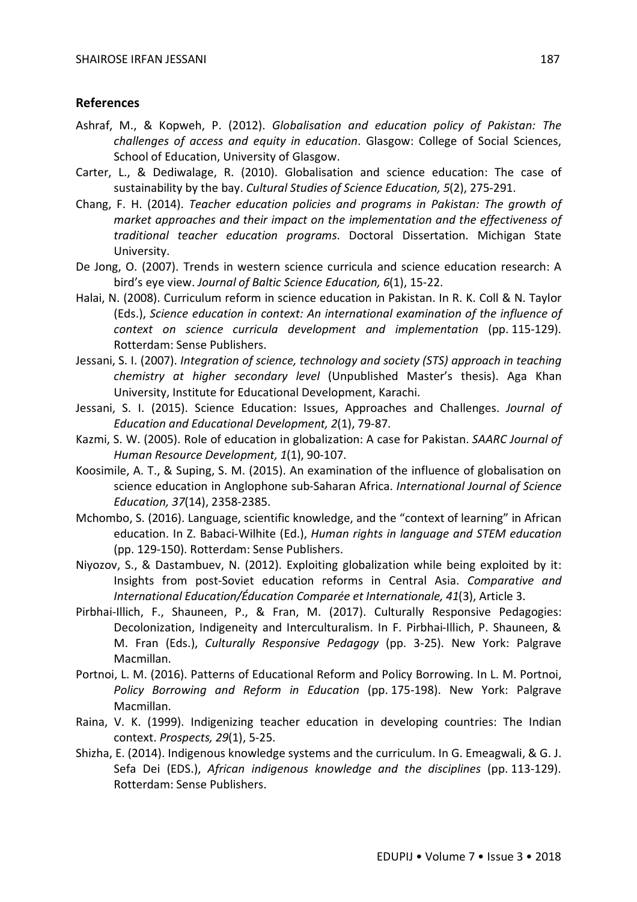## **References**

- Ashraf, M., & Kopweh, P. (2012). *Globalisation and education policy of Pakistan: The challenges of access and equity in education*. Glasgow: College of Social Sciences, School of Education, University of Glasgow.
- Carter, L., & Dediwalage, R. (2010). Globalisation and science education: The case of sustainability by the bay. *Cultural Studies of Science Education, 5*(2), 275-291.
- Chang, F. H. (2014). *Teacher education policies and programs in Pakistan: The growth of market approaches and their impact on the implementation and the effectiveness of traditional teacher education programs*. Doctoral Dissertation. Michigan State University.
- De Jong, O. (2007). Trends in western science curricula and science education research: A bird's eye view. *Journal of Baltic Science Education, 6*(1), 15-22.
- Halai, N. (2008). Curriculum reform in science education in Pakistan. In R. K. Coll & N. Taylor (Eds.), *Science education in context: An international examination of the influence of context on science curricula development and implementation* (pp. 115-129). Rotterdam: Sense Publishers.
- Jessani, S. I. (2007). *Integration of science, technology and society (STS) approach in teaching chemistry at higher secondary level* (Unpublished Master's thesis). Aga Khan University, Institute for Educational Development, Karachi.
- Jessani, S. I. (2015). Science Education: Issues, Approaches and Challenges. *Journal of Education and Educational Development, 2*(1), 79-87.
- Kazmi, S. W. (2005). Role of education in globalization: A case for Pakistan. *SAARC Journal of Human Resource Development, 1*(1), 90-107.
- Koosimile, A. T., & Suping, S. M. (2015). An examination of the influence of globalisation on science education in Anglophone sub-Saharan Africa. *International Journal of Science Education, 37*(14), 2358-2385.
- Mchombo, S. (2016). Language, scientific knowledge, and the "context of learning" in African education. In Z. Babaci-Wilhite (Ed.), *Human rights in language and STEM education* (pp. 129-150). Rotterdam: Sense Publishers.
- Niyozov, S., & Dastambuev, N. (2012). Exploiting globalization while being exploited by it: Insights from post-Soviet education reforms in Central Asia. *Comparative and International Education/Éducation Comparée et Internationale, 41*(3), Article 3.
- Pirbhai-Illich, F., Shauneen, P., & Fran, M. (2017). Culturally Responsive Pedagogies: Decolonization, Indigeneity and Interculturalism. In F. Pirbhai-Illich, P. Shauneen, & M. Fran (Eds.), *Culturally Responsive Pedagogy* (pp. 3-25). New York: Palgrave Macmillan.
- Portnoi, L. M. (2016). Patterns of Educational Reform and Policy Borrowing. In L. M. Portnoi, *Policy Borrowing and Reform in Education* (pp. 175-198). New York: Palgrave Macmillan.
- Raina, V. K. (1999). Indigenizing teacher education in developing countries: The Indian context. *Prospects, 29*(1), 5-25.
- Shizha, E. (2014). Indigenous knowledge systems and the curriculum. In G. Emeagwali, & G. J. Sefa Dei (EDS.), *African indigenous knowledge and the disciplines* (pp. 113-129). Rotterdam: Sense Publishers.